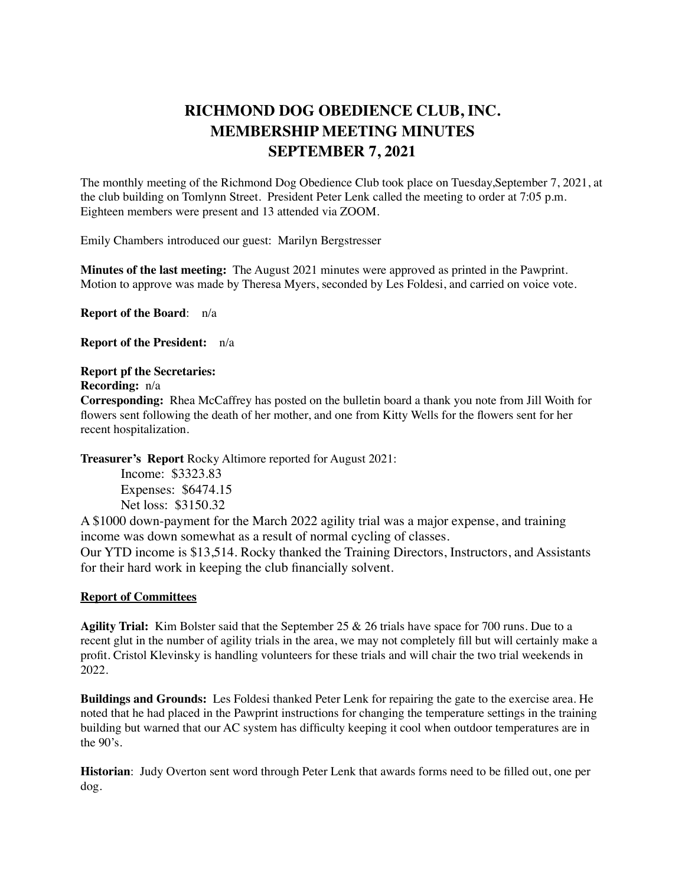## **RICHMOND DOG OBEDIENCE CLUB, INC. MEMBERSHIP MEETING MINUTES SEPTEMBER 7, 2021**

The monthly meeting of the Richmond Dog Obedience Club took place on Tuesday,September 7, 2021, at the club building on Tomlynn Street. President Peter Lenk called the meeting to order at 7:05 p.m. Eighteen members were present and 13 attended via ZOOM.

Emily Chambers introduced our guest: Marilyn Bergstresser

**Minutes of the last meeting:** The August 2021 minutes were approved as printed in the Pawprint. Motion to approve was made by Theresa Myers, seconded by Les Foldesi, and carried on voice vote.

**Report of the Board**: n/a

**Report of the President:** n/a

## **Report pf the Secretaries:**

**Recording:** n/a

**Corresponding:** Rhea McCaffrey has posted on the bulletin board a thank you note from Jill Woith for flowers sent following the death of her mother, and one from Kitty Wells for the flowers sent for her recent hospitalization.

**Treasurer's Report** Rocky Altimore reported for August 2021:

Income: \$3323.83 Expenses: \$6474.15 Net loss: \$3150.32

A \$1000 down-payment for the March 2022 agility trial was a major expense, and training income was down somewhat as a result of normal cycling of classes.

Our YTD income is \$13,514. Rocky thanked the Training Directors, Instructors, and Assistants for their hard work in keeping the club financially solvent.

## **Report of Committees**

**Agility Trial:** Kim Bolster said that the September 25 & 26 trials have space for 700 runs. Due to a recent glut in the number of agility trials in the area, we may not completely fill but will certainly make a profit. Cristol Klevinsky is handling volunteers for these trials and will chair the two trial weekends in 2022.

**Buildings and Grounds:** Les Foldesi thanked Peter Lenk for repairing the gate to the exercise area. He noted that he had placed in the Pawprint instructions for changing the temperature settings in the training building but warned that our AC system has difficulty keeping it cool when outdoor temperatures are in the 90's.

**Historian**: Judy Overton sent word through Peter Lenk that awards forms need to be filled out, one per dog.